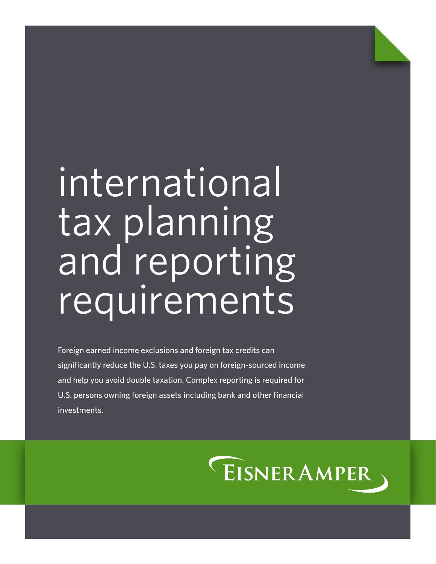# international tax planning and reporting requirements

Foreign earned income exclusions and foreign tax credits can significantly reduce the U.S. taxes you pay on foreign-sourced income and help you avoid double taxation. Complex reporting is required for U.S. persons owning foreign assets including bank and other financial investments.

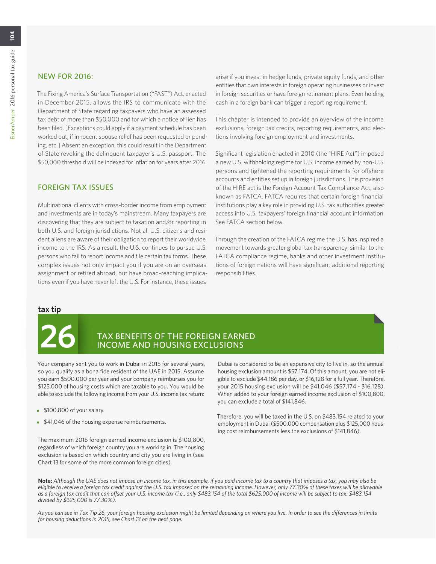## NEW FOR 2016:

The Fixing America's Surface Transportation ("FAST") Act, enacted in December 2015, allows the IRS to communicate with the Department of State regarding taxpayers who have an assessed tax debt of more than \$50,000 and for which a notice of lien has been filed. [Exceptions could apply if a payment schedule has been worked out, if innocent spouse relief has been requested or pending, etc.] Absent an exception, this could result in the Department of State revoking the delinquent taxpayer's U.S. passport. The \$50,000 threshold will be indexed for inflation for years after 2016.

# FOREIGN TAX ISSUES

Multinational clients with cross-border income from employment and investments are in today's mainstream. Many taxpayers are discovering that they are subject to taxation and/or reporting in both U.S. and foreign jurisdictions. Not all U.S. citizens and resident aliens are aware of their obligation to report their worldwide income to the IRS. As a result, the U.S. continues to pursue U.S. persons who fail to report income and file certain tax forms. These complex issues not only impact you if you are on an overseas assignment or retired abroad, but have broad-reaching implications even if you have never left the U.S. For instance, these issues

arise if you invest in hedge funds, private equity funds, and other entities that own interests in foreign operating businesses or invest in foreign securities or have foreign retirement plans. Even holding cash in a foreign bank can trigger a reporting requirement.

This chapter is intended to provide an overview of the income exclusions, foreign tax credits, reporting requirements, and elections involving foreign employment and investments.

Significant legislation enacted in 2010 (the "HIRE Act") imposed a new U.S. withholding regime for U.S. income earned by non-U.S. persons and tightened the reporting requirements for offshore accounts and entities set up in foreign jurisdictions. This provision of the HIRE act is the Foreign Account Tax Compliance Act, also known as FATCA. FATCA requires that certain foreign financial institutions play a key role in providing U.S. tax authorities greater access into U.S. taxpayers' foreign financial account information. See FATCA section below.

Through the creation of the FATCA regime the U.S. has inspired a movement towards greater global tax transparency; similar to the FATCA compliance regime, banks and other investment institutions of foreign nations will have significant additional reporting responsibilities.

### **tax tip**



# **26** TAX BENEFITS OF THE FOREIGN EARNED INCOME AND HOUSING EXCLUSIONS

Your company sent you to work in Dubai in 2015 for several years, so you qualify as a bona fide resident of the UAE in 2015. Assume you earn \$500,000 per year and your company reimburses you for \$125,000 of housing costs which are taxable to you. You would be able to exclude the following income from your U.S. income tax return:

- \$100,800 of your salary.
- \$41,046 of the housing expense reimbursements.

The maximum 2015 foreign earned income exclusion is \$100,800, regardless of which foreign country you are working in. The housing exclusion is based on which country and city you are living in (see Chart 13 for some of the more common foreign cities).

Dubai is considered to be an expensive city to live in, so the annual housing exclusion amount is \$57,174. Of this amount, you are not eligible to exclude \$44.186 per day, or \$16,128 for a full year. Therefore, your 2015 housing exclusion will be \$41,046 (\$57,174 - \$16,128). When added to your foreign earned income exclusion of \$100,800, you can exclude a total of \$141,846.

Therefore, you will be taxed in the U.S. on \$483,154 related to your employment in Dubai (\$500,000 compensation plus \$125,000 housing cost reimbursements less the exclusions of \$141,846).

**Note:** *Although the UAE does not impose an income tax, in this example, if you paid income tax to a country that imposes a tax, you may also be eligible to receive a foreign tax credit against the U.S. tax imposed on the remaining income. However, only 77.30% of these taxes will be allowable as a foreign tax credit that can offset your U.S. income tax (i.e., only \$483,154 of the total \$625,000 of income will be subject to tax: \$483,154 divided by \$625,000 is 77.30%).*

*As you can see in Tax Tip 26, your foreign housing exclusion might be limited depending on where you live. In order to see the differences in limits for housing deductions in 2015, see Chart 13 on the next page.*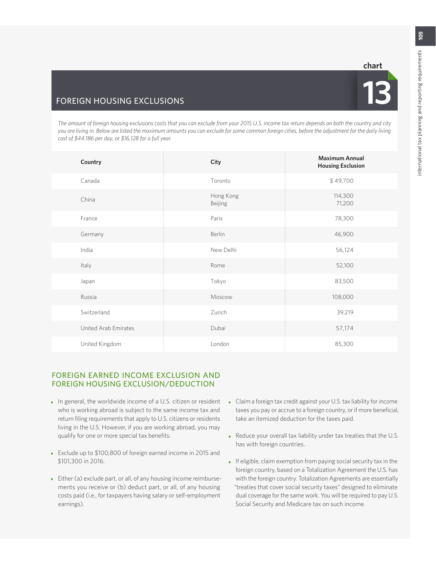# **chart**

# FOREIGN HOUSING EXCLUSIONS

*The amount of foreign housing exclusions costs that you can exclude from your 2015 U.S. income tax return depends on both the country and city you are living in. Below are listed the maximum amounts you can exclude for some common foreign cities, before the adjustment for the daily living cost of \$44.186 per day, or \$16,128 for a full year.*

| Country              | City                 | <b>Maximum Annual</b><br><b>Housing Exclusion</b> |
|----------------------|----------------------|---------------------------------------------------|
| Canada               | Toronto              | \$49,700                                          |
| China                | Hong Kong<br>Beijing | 114,300<br>71,200                                 |
| France               | Paris                | 78,300                                            |
| Germany              | Berlin               | 46,900                                            |
| India                | New Delhi            | 56,124                                            |
| Italy                | Rome                 | 52,100                                            |
| Japan                | Tokyo                | 83,500                                            |
| Russia               | Moscow               | 108,000                                           |
| Switzerland          | Zurich               | 39,219                                            |
| United Arab Emirates | Dubai                | 57,174                                            |
| United Kingdom       | London               | 85,300                                            |

## FOREIGN EARNED INCOME EXCLUSION AND FOREIGN HOUSING EXCLUSION/DEDUCTION

- In general, the worldwide income of a U.S. citizen or resident who is working abroad is subject to the same income tax and return filing requirements that apply to U.S. citizens or residents living in the U.S. However, if you are working abroad, you may qualify for one or more special tax benefits:
- Exclude up to \$100,800 of foreign earned income in 2015 and \$101,300 in 2016.
- Either (a) exclude part, or all, of any housing income reimbursements you receive or (b) deduct part, or all, of any housing costs paid (i.e., for taxpayers having salary or self-employment earnings).
- Claim a foreign tax credit against your U.S. tax liability for income taxes you pay or accrue to a foreign country, or if more beneficial, take an itemized deduction for the taxes paid.
- Reduce your overall tax liability under tax treaties that the U.S. has with foreign countries.
- If eligible, claim exemption from paying social security tax in the foreign country, based on a Totalization Agreement the U.S. has with the foreign country. Totalization Agreements are essentially "treaties that cover social security taxes" designed to eliminate dual coverage for the same work. You will be required to pay U.S. Social Security and Medicare tax on such income.

nternational tax planning and reporting requirements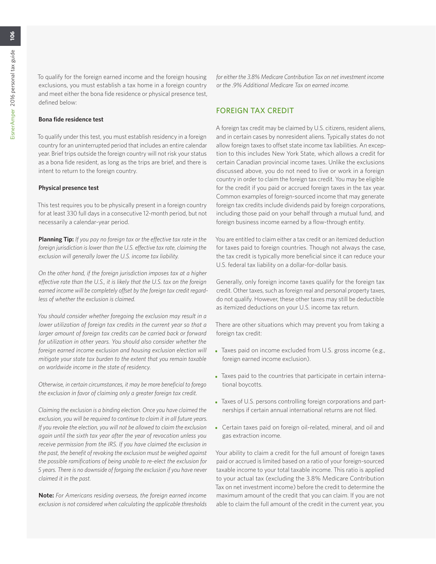To qualify for the foreign earned income and the foreign housing exclusions, you must establish a tax home in a foreign country and meet either the bona fide residence or physical presence test, defined below:

#### **Bona fide residence test**

To qualify under this test, you must establish residency in a foreign country for an uninterrupted period that includes an entire calendar year. Brief trips outside the foreign country will not risk your status as a bona fide resident, as long as the trips are brief, and there is intent to return to the foreign country.

#### **Physical presence test**

This test requires you to be physically present in a foreign country for at least 330 full days in a consecutive 12-month period, but not necessarily a calendar-year period.

**Planning Tip:** *If you pay no foreign tax or the effective tax rate in the foreign jurisdiction is lower than the U.S. effective tax rate, claiming the exclusion will generally lower the U.S. income tax liability.* 

*On the other hand, if the foreign jurisdiction imposes tax at a higher effective rate than the U.S., it is likely that the U.S. tax on the foreign earned income will be completely offset by the foreign tax credit regardless of whether the exclusion is claimed.* 

*You should consider whether foregoing the exclusion may result in a lower utilization of foreign tax credits in the current year so that a larger amount of foreign tax credits can be carried back or forward for utilization in other years. You should also consider whether the foreign earned income exclusion and housing exclusion election will mitigate your state tax burden to the extent that you remain taxable on worldwide income in the state of residency.*

*Otherwise, in certain circumstances, it may be more beneficial to forego the exclusion in favor of claiming only a greater foreign tax credit.* 

*Claiming the exclusion is a binding election. Once you have claimed the exclusion, you will be required to continue to claim it in all future years. If you revoke the election, you will not be allowed to claim the exclusion again until the sixth tax year after the year of revocation unless you receive permission from the IRS. If you have claimed the exclusion in the past, the benefit of revoking the exclusion must be weighed against the possible ramifications of being unable to re-elect the exclusion for 5 years. There is no downside of forgoing the exclusion if you have never claimed it in the past.*

**Note:** *For Americans residing overseas, the foreign earned income exclusion is not considered when calculating the applicable thresholds*  *for either the 3.8% Medicare Contribution Tax on net investment income or the .9% Additional Medicare Tax on earned income.*

## FOREIGN TAX CREDIT

A foreign tax credit may be claimed by U.S. citizens, resident aliens, and in certain cases by nonresident aliens. Typically states do not allow foreign taxes to offset state income tax liabilities. An exception to this includes New York State, which allows a credit for certain Canadian provincial income taxes. Unlike the exclusions discussed above, you do not need to live or work in a foreign country in order to claim the foreign tax credit. You may be eligible for the credit if you paid or accrued foreign taxes in the tax year. Common examples of foreign-sourced income that may generate foreign tax credits include dividends paid by foreign corporations, including those paid on your behalf through a mutual fund, and foreign business income earned by a flow-through entity.

You are entitled to claim either a tax credit or an itemized deduction for taxes paid to foreign countries. Though not always the case, the tax credit is typically more beneficial since it can reduce your U.S. federal tax liability on a dollar-for-dollar basis.

Generally, only foreign income taxes qualify for the foreign tax credit. Other taxes, such as foreign real and personal property taxes, do not qualify. However, these other taxes may still be deductible as itemized deductions on your U.S. income tax return.

There are other situations which may prevent you from taking a foreign tax credit:

- Taxes paid on income excluded from U.S. gross income (e.g., foreign earned income exclusion).
- Taxes paid to the countries that participate in certain international boycotts.
- Taxes of U.S. persons controlling foreign corporations and partnerships if certain annual international returns are not filed.
- Certain taxes paid on foreign oil-related, mineral, and oil and gas extraction income.

Your ability to claim a credit for the full amount of foreign taxes paid or accrued is limited based on a ratio of your foreign-sourced taxable income to your total taxable income. This ratio is applied to your actual tax (excluding the 3.8% Medicare Contribution Tax on net investment income) before the credit to determine the maximum amount of the credit that you can claim. If you are not able to claim the full amount of the credit in the current year, you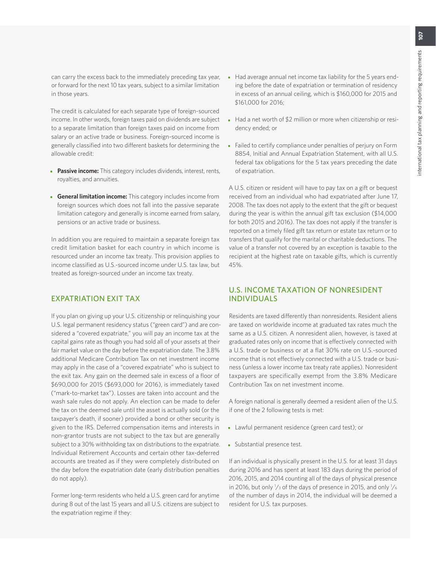can carry the excess back to the immediately preceding tax year, or forward for the next 10 tax years, subject to a similar limitation in those years.

The credit is calculated for each separate type of foreign-sourced income. In other words, foreign taxes paid on dividends are subject to a separate limitation than foreign taxes paid on income from salary or an active trade or business. Foreign-sourced income is generally classified into two different baskets for determining the allowable credit:

- **Passive income:** This category includes dividends, interest, rents, royalties, and annuities.
- **General limitation income:** This category includes income from foreign sources which does not fall into the passive separate limitation category and generally is income earned from salary, pensions or an active trade or business.

In addition you are required to maintain a separate foreign tax credit limitation basket for each country in which income is resourced under an income tax treaty. This provision applies to income classified as U.S.-sourced income under U.S. tax law, but treated as foreign-sourced under an income tax treaty.

# EXPATRIATION EXIT TAX

If you plan on giving up your U.S. citizenship or relinquishing your U.S. legal permanent residency status ("green card") and are considered a "covered expatriate," you will pay an income tax at the capital gains rate as though you had sold all of your assets at their fair market value on the day before the expatriation date. The 3.8% additional Medicare Contribution Tax on net investment income may apply in the case of a "covered expatriate" who is subject to the exit tax. Any gain on the deemed sale in excess of a floor of \$690,000 for 2015 (\$693,000 for 2016), is immediately taxed ("mark-to-market tax"). Losses are taken into account and the wash sale rules do not apply. An election can be made to defer the tax on the deemed sale until the asset is actually sold (or the taxpayer's death, if sooner) provided a bond or other security is given to the IRS. Deferred compensation items and interests in non-grantor trusts are not subject to the tax but are generally subject to a 30% withholding tax on distributions to the expatriate. Individual Retirement Accounts and certain other tax-deferred accounts are treated as if they were completely distributed on the day before the expatriation date (early distribution penalties do not apply).

Former long-term residents who held a U.S. green card for anytime during 8 out of the last 15 years and all U.S. citizens are subject to the expatriation regime if they:

- Had average annual net income tax liability for the 5 years ending before the date of expatriation or termination of residency in excess of an annual ceiling, which is \$160,000 for 2015 and \$161,000 for 2016;
- Had a net worth of \$2 million or more when citizenship or residency ended; or
- Failed to certify compliance under penalties of perjury on Form 8854, Initial and Annual Expatriation Statement, with all U.S. federal tax obligations for the 5 tax years preceding the date of expatriation.

A U.S. citizen or resident will have to pay tax on a gift or bequest received from an individual who had expatriated after June 17, 2008. The tax does not apply to the extent that the gift or bequest during the year is within the annual gift tax exclusion (\$14,000 for both 2015 and 2016). The tax does not apply if the transfer is reported on a timely filed gift tax return or estate tax return or to transfers that qualify for the marital or charitable deductions. The value of a transfer not covered by an exception is taxable to the recipient at the highest rate on taxable gifts, which is currently 45%.

## U.S. INCOME TAXATION OF NONRESIDENT INDIVIDUALS

Residents are taxed differently than nonresidents. Resident aliens are taxed on worldwide income at graduated tax rates much the same as a U.S. citizen. A nonresident alien, however, is taxed at graduated rates only on income that is effectively connected with a U.S. trade or business or at a flat 30% rate on U.S.-sourced income that is not effectively connected with a U.S. trade or business (unless a lower income tax treaty rate applies). Nonresident taxpayers are specifically exempt from the 3.8% Medicare Contribution Tax on net investment income.

A foreign national is generally deemed a resident alien of the U.S. if one of the 2 following tests is met:

- Lawful permanent residence (green card test); or
- Substantial presence test.

If an individual is physically present in the U.S. for at least 31 days during 2016 and has spent at least 183 days during the period of 2016, 2015, and 2014 counting all of the days of physical presence in 2016, but only  $\frac{1}{3}$  of the days of presence in 2015, and only  $\frac{1}{6}$ of the number of days in 2014, the individual will be deemed a resident for U.S. tax purposes.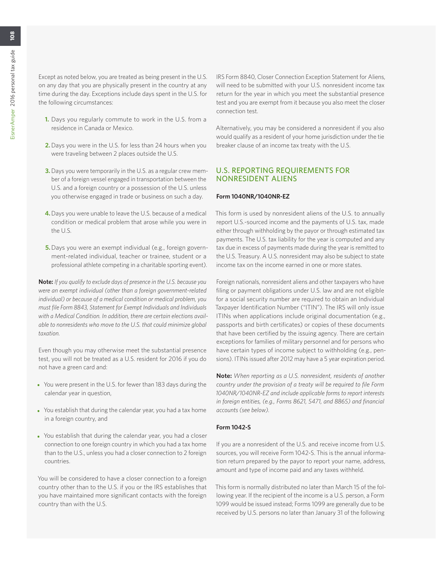Except as noted below, you are treated as being present in the U.S. on any day that you are physically present in the country at any time during the day. Exceptions include days spent in the U.S. for the following circumstances:

- **1.** Days you regularly commute to work in the U.S. from a residence in Canada or Mexico.
- **2.**Days you were in the U.S. for less than 24 hours when you were traveling between 2 places outside the U.S.
- **3.**Days you were temporarily in the U.S. as a regular crew member of a foreign vessel engaged in transportation between the U.S. and a foreign country or a possession of the U.S. unless you otherwise engaged in trade or business on such a day.
- **4.**Days you were unable to leave the U.S. because of a medical condition or medical problem that arose while you were in the U.S.
- **5.**Days you were an exempt individual (e.g., foreign government-related individual, teacher or trainee, student or a professional athlete competing in a charitable sporting event).

**Note:** *If you qualify to exclude days of presence in the U.S. because you were an exempt individual (other than a foreign government-related individual) or because of a medical condition or medical problem, you must file Form 8843, Statement for Exempt Individuals and Individuals with a Medical Condition. In addition, there are certain elections available to nonresidents who move to the U.S. that could minimize global taxation.*

Even though you may otherwise meet the substantial presence test, you will not be treated as a U.S. resident for 2016 if you do not have a green card and:

- You were present in the U.S. for fewer than 183 days during the calendar year in question,
- You establish that during the calendar year, you had a tax home in a foreign country, and
- You establish that during the calendar year, you had a closer connection to one foreign country in which you had a tax home than to the U.S., unless you had a closer connection to 2 foreign countries.

You will be considered to have a closer connection to a foreign country other than to the U.S. if you or the IRS establishes that you have maintained more significant contacts with the foreign country than with the U.S.

IRS Form 8840, Closer Connection Exception Statement for Aliens, will need to be submitted with your U.S. nonresident income tax return for the year in which you meet the substantial presence test and you are exempt from it because you also meet the closer connection test.

Alternatively, you may be considered a nonresident if you also would qualify as a resident of your home jurisdiction under the tie breaker clause of an income tax treaty with the U.S.

## U.S. REPORTING REQUIREMENTS FOR NONRESIDENT ALIENS

#### **Form 1040NR/1040NR-EZ**

This form is used by nonresident aliens of the U.S. to annually report U.S.-sourced income and the payments of U.S. tax, made either through withholding by the payor or through estimated tax payments. The U.S. tax liability for the year is computed and any tax due in excess of payments made during the year is remitted to the U.S. Treasury. A U.S. nonresident may also be subject to state income tax on the income earned in one or more states.

Foreign nationals, nonresident aliens and other taxpayers who have filing or payment obligations under U.S. law and are not eligible for a social security number are required to obtain an Individual Taxpayer Identification Number ("ITIN"). The IRS will only issue ITINs when applications include original documentation (e.g., passports and birth certificates) or copies of these documents that have been certified by the issuing agency. There are certain exceptions for families of military personnel and for persons who have certain types of income subject to withholding (e.g., pensions). ITINs issued after 2012 may have a 5 year expiration period.

**Note:** *When reporting as a U.S. nonresident, residents of another country under the provision of a treaty will be required to file Form 1040NR/1040NR-EZ and include applicable forms to report interests in foreign entities, (e.g., Forms 8621, 5471, and 8865) and financial accounts (see below).*

#### **Form 1042-S**

If you are a nonresident of the U.S. and receive income from U.S. sources, you will receive Form 1042-S. This is the annual information return prepared by the payor to report your name, address, amount and type of income paid and any taxes withheld.

This form is normally distributed no later than March 15 of the following year. If the recipient of the income is a U.S. person, a Form 1099 would be issued instead; Forms 1099 are generally due to be received by U.S. persons no later than January 31 of the following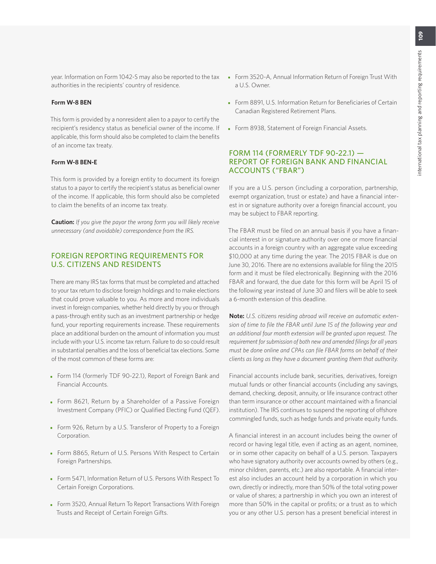authorities in the recipients' country of residence.

#### **Form W-8 BEN**

This form is provided by a nonresident alien to a payor to certify the recipient's residency status as beneficial owner of the income. If applicable, this form should also be completed to claim the benefits of an income tax treaty.

#### **Form W-8 BEN-E**

This form is provided by a foreign entity to document its foreign status to a payor to certify the recipient's status as beneficial owner of the income. If applicable, this form should also be completed to claim the benefits of an income tax treaty.

**Caution:** *If you give the payor the wrong form you will likely receive unnecessary (and avoidable) correspondence from the IRS.*

## FOREIGN REPORTING REQUIREMENTS FOR U.S. CITIZENS AND RESIDENTS

There are many IRS tax forms that must be completed and attached to your tax return to disclose foreign holdings and to make elections that could prove valuable to you. As more and more individuals invest in foreign companies, whether held directly by you or through a pass-through entity such as an investment partnership or hedge fund, your reporting requirements increase. These requirements place an additional burden on the amount of information you must include with your U.S. income tax return. Failure to do so could result in substantial penalties and the loss of beneficial tax elections. Some of the most common of these forms are:

- Form 114 (formerly TDF 90-22.1), Report of Foreign Bank and Financial Accounts.
- Form 8621, Return by a Shareholder of a Passive Foreign Investment Company (PFIC) or Qualified Electing Fund (QEF).
- Form 926, Return by a U.S. Transferor of Property to a Foreign Corporation.
- Form 8865, Return of U.S. Persons With Respect to Certain Foreign Partnerships.
- Form 5471, Information Return of U.S. Persons With Respect To Certain Foreign Corporations.
- Form 3520, Annual Return To Report Transactions With Foreign Trusts and Receipt of Certain Foreign Gifts.
- year. Information on Form 1042-S may also be reported to the tax Form 3520-A, Annual Information Return of Foreign Trust With a U.S. Owner.
	- Form 8891, U.S. Information Return for Beneficiaries of Certain Canadian Registered Retirement Plans.
	- Form 8938, Statement of Foreign Financial Assets.

## FORM 114 (FORMERLY TDF 90-22.1) — REPORT OF FOREIGN BANK AND FINANCIAL ACCOUNTS ("FBAR")

If you are a U.S. person (including a corporation, partnership, exempt organization, trust or estate) and have a financial interest in or signature authority over a foreign financial account, you may be subject to FBAR reporting.

The FBAR must be filed on an annual basis if you have a financial interest in or signature authority over one or more financial accounts in a foreign country with an aggregate value exceeding \$10,000 at any time during the year. The 2015 FBAR is due on June 30, 2016. There are no extensions available for filing the 2015 form and it must be filed electronically. Beginning with the 2016 FBAR and forward, the due date for this form will be April 15 of the following year instead of June 30 and filers will be able to seek a 6-month extension of this deadline.

**Note:** *U.S. citizens residing abroad will receive an automatic extension of time to file the FBAR until June 15 of the following year and an additional four month extension will be granted upon request. The requirement for submission of both new and amended filings for all years must be done online and CPAs can file FBAR forms on behalf of their clients as long as they have a document granting them that authority.*

Financial accounts include bank, securities, derivatives, foreign mutual funds or other financial accounts (including any savings, demand, checking, deposit, annuity, or life insurance contract other than term insurance or other account maintained with a financial institution). The IRS continues to suspend the reporting of offshore commingled funds, such as hedge funds and private equity funds.

A financial interest in an account includes being the owner of record or having legal title, even if acting as an agent, nominee, or in some other capacity on behalf of a U.S. person. Taxpayers who have signatory authority over accounts owned by others (e.g., minor children, parents, etc.) are also reportable. A financial interest also includes an account held by a corporation in which you own, directly or indirectly, more than 50% of the total voting power or value of shares; a partnership in which you own an interest of more than 50% in the capital or profits; or a trust as to which you or any other U.S. person has a present beneficial interest in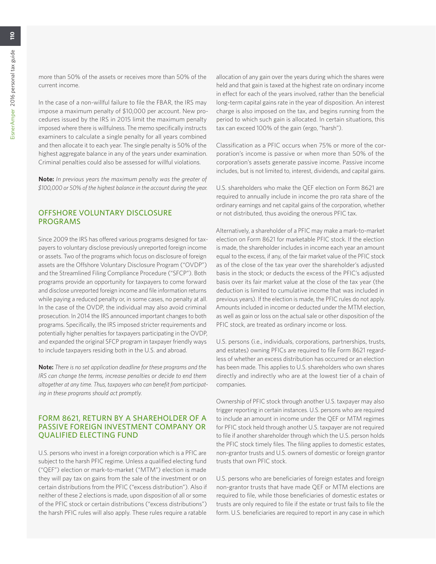more than 50% of the assets or receives more than 50% of the current income.

In the case of a non-willful failure to file the FBAR, the IRS may impose a maximum penalty of \$10,000 per account. New procedures issued by the IRS in 2015 limit the maximum penalty imposed where there is willfulness. The memo specifically instructs examiners to calculate a single penalty for all years combined and then allocate it to each year. The single penalty is 50% of the highest aggregate balance in any of the years under examination. Criminal penalties could also be assessed for willful violations.

**Note:** *In previous years the maximum penalty was the greater of \$100,000 or 50% of the highest balance in the account during the year.* 

## OFFSHORE VOLUNTARY DISCLOSURE PROGRAMS

Since 2009 the IRS has offered various programs designed for taxpayers to voluntary disclose previously unreported foreign income or assets. Two of the programs which focus on disclosure of foreign assets are the Offshore Voluntary Disclosure Program ("OVDP") and the Streamlined Filing Compliance Procedure ("SFCP"). Both programs provide an opportunity for taxpayers to come forward and disclose unreported foreign income and file information returns while paying a reduced penalty or, in some cases, no penalty at all. In the case of the OVDP, the individual may also avoid criminal prosecution. In 2014 the IRS announced important changes to both programs. Specifically, the IRS imposed stricter requirements and potentially higher penalties for taxpayers participating in the OVDP, and expanded the original SFCP program in taxpayer friendly ways to include taxpayers residing both in the U.S. and abroad.

**Note:** *There is no set application deadline for these programs and the IRS can change the terms, increase penalties or decide to end them altogether at any time. Thus, taxpayers who can benefit from participating in these programs should act promptly.*

## FORM 8621, RETURN BY A SHAREHOLDER OF A PASSIVE FOREIGN INVESTMENT COMPANY OR QUALIFIED ELECTING FUND

U.S. persons who invest in a foreign corporation which is a PFIC are subject to the harsh PFIC regime. Unless a qualified electing fund ("QEF") election or mark-to-market ("MTM") election is made they will pay tax on gains from the sale of the investment or on certain distributions from the PFIC ("excess distribution"). Also if neither of these 2 elections is made, upon disposition of all or some of the PFIC stock or certain distributions ("excess distributions") the harsh PFIC rules will also apply. These rules require a ratable allocation of any gain over the years during which the shares were held and that gain is taxed at the highest rate on ordinary income in effect for each of the years involved, rather than the beneficial long-term capital gains rate in the year of disposition. An interest charge is also imposed on the tax, and begins running from the period to which such gain is allocated. In certain situations, this tax can exceed 100% of the gain (ergo, "harsh").

Classification as a PFIC occurs when 75% or more of the corporation's income is passive or when more than 50% of the corporation's assets generate passive income. Passive income includes, but is not limited to, interest, dividends, and capital gains.

U.S. shareholders who make the QEF election on Form 8621 are required to annually include in income the pro rata share of the ordinary earnings and net capital gains of the corporation, whether or not distributed, thus avoiding the onerous PFIC tax.

Alternatively, a shareholder of a PFIC may make a mark-to-market election on Form 8621 for marketable PFIC stock. If the election is made, the shareholder includes in income each year an amount equal to the excess, if any, of the fair market value of the PFIC stock as of the close of the tax year over the shareholder's adjusted basis in the stock; or deducts the excess of the PFIC's adjusted basis over its fair market value at the close of the tax year (the deduction is limited to cumulative income that was included in previous years). If the election is made, the PFIC rules do not apply. Amounts included in income or deducted under the MTM election, as well as gain or loss on the actual sale or other disposition of the PFIC stock, are treated as ordinary income or loss.

U.S. persons (i.e., individuals, corporations, partnerships, trusts, and estates) owning PFICs are required to file Form 8621 regardless of whether an excess distribution has occurred or an election has been made. This applies to U.S. shareholders who own shares directly and indirectly who are at the lowest tier of a chain of companies.

Ownership of PFIC stock through another U.S. taxpayer may also trigger reporting in certain instances. U.S. persons who are required to include an amount in income under the QEF or MTM regimes for PFIC stock held through another U.S. taxpayer are not required to file if another shareholder through which the U.S. person holds the PFIC stock timely files. The filing applies to domestic estates, non-grantor trusts and U.S. owners of domestic or foreign grantor trusts that own PFIC stock.

U.S. persons who are beneficiaries of foreign estates and foreign non-grantor trusts that have made QEF or MTM elections are required to file, while those beneficiaries of domestic estates or trusts are only required to file if the estate or trust fails to file the form. U.S. beneficiaries are required to report in any case in which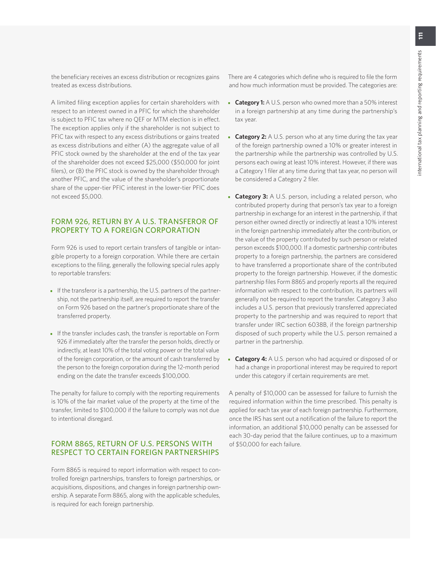the beneficiary receives an excess distribution or recognizes gains treated as excess distributions.

A limited filing exception applies for certain shareholders with respect to an interest owned in a PFIC for which the shareholder is subject to PFIC tax where no QEF or MTM election is in effect. The exception applies only if the shareholder is not subject to PFIC tax with respect to any excess distributions or gains treated as excess distributions and either (A) the aggregate value of all PFIC stock owned by the shareholder at the end of the tax year of the shareholder does not exceed \$25,000 (\$50,000 for joint filers), or (B) the PFIC stock is owned by the shareholder through another PFIC, and the value of the shareholder's proportionate share of the upper-tier PFIC interest in the lower-tier PFIC does not exceed \$5,000.

## FORM 926, RETURN BY A U.S. TRANSFEROR OF PROPERTY TO A FOREIGN CORPORATION

Form 926 is used to report certain transfers of tangible or intangible property to a foreign corporation. While there are certain exceptions to the filing, generally the following special rules apply to reportable transfers:

- If the transferor is a partnership, the U.S. partners of the partnership, not the partnership itself, are required to report the transfer on Form 926 based on the partner's proportionate share of the transferred property.
- If the transfer includes cash, the transfer is reportable on Form 926 if immediately after the transfer the person holds, directly or indirectly, at least 10% of the total voting power or the total value of the foreign corporation, or the amount of cash transferred by the person to the foreign corporation during the 12-month period ending on the date the transfer exceeds \$100,000.

The penalty for failure to comply with the reporting requirements is 10% of the fair market value of the property at the time of the transfer, limited to \$100,000 if the failure to comply was not due to intentional disregard.

## FORM 8865, RETURN OF U.S. PERSONS WITH RESPECT TO CERTAIN FOREIGN PARTNERSHIPS

Form 8865 is required to report information with respect to controlled foreign partnerships, transfers to foreign partnerships, or acquisitions, dispositions, and changes in foreign partnership ownership. A separate Form 8865, along with the applicable schedules, is required for each foreign partnership.

There are 4 categories which define who is required to file the form and how much information must be provided. The categories are:

- **Category 1:** A U.S. person who owned more than a 50% interest in a foreign partnership at any time during the partnership's tax year.
- **Category 2:** A U.S. person who at any time during the tax year of the foreign partnership owned a 10% or greater interest in the partnership while the partnership was controlled by U.S. persons each owing at least 10% interest. However, if there was a Category 1 filer at any time during that tax year, no person will be considered a Category 2 filer.
- **Category 3:** A U.S. person, including a related person, who contributed property during that person's tax year to a foreign partnership in exchange for an interest in the partnership, if that person either owned directly or indirectly at least a 10% interest in the foreign partnership immediately after the contribution, or the value of the property contributed by such person or related person exceeds \$100,000. If a domestic partnership contributes property to a foreign partnership, the partners are considered to have transferred a proportionate share of the contributed property to the foreign partnership. However, if the domestic partnership files Form 8865 and properly reports all the required information with respect to the contribution, its partners will generally not be required to report the transfer. Category 3 also includes a U.S. person that previously transferred appreciated property to the partnership and was required to report that transfer under IRC section 6038B, if the foreign partnership disposed of such property while the U.S. person remained a partner in the partnership.
- **Category 4:** A U.S. person who had acquired or disposed of or had a change in proportional interest may be required to report under this category if certain requirements are met.

A penalty of \$10,000 can be assessed for failure to furnish the required information within the time prescribed. This penalty is applied for each tax year of each foreign partnership. Furthermore, once the IRS has sent out a notification of the failure to report the information, an additional \$10,000 penalty can be assessed for each 30-day period that the failure continues, up to a maximum of \$50,000 for each failure.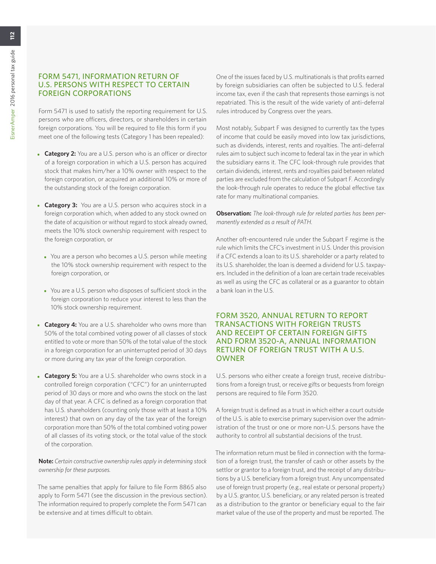# FORM 5471, INFORMATION RETURN OF U.S. PERSONS WITH RESPECT TO CERTAIN FOREIGN CORPORATIONS

Form 5471 is used to satisfy the reporting requirement for U.S. persons who are officers, directors, or shareholders in certain foreign corporations. You will be required to file this form if you meet one of the following tests (Category 1 has been repealed):

- **Category 2:** You are a U.S. person who is an officer or director of a foreign corporation in which a U.S. person has acquired stock that makes him/her a 10% owner with respect to the foreign corporation, or acquired an additional 10% or more of the outstanding stock of the foreign corporation.
- **Category 3:** You are a U.S. person who acquires stock in a foreign corporation which, when added to any stock owned on the date of acquisition or without regard to stock already owned, meets the 10% stock ownership requirement with respect to the foreign corporation, or
	- You are a person who becomes a U.S. person while meeting the 10% stock ownership requirement with respect to the foreign corporation, or
	- You are a U.S. person who disposes of sufficient stock in the foreign corporation to reduce your interest to less than the 10% stock ownership requirement.
- **Category 4:** You are a U.S. shareholder who owns more than 50% of the total combined voting power of all classes of stock entitled to vote or more than 50% of the total value of the stock in a foreign corporation for an uninterrupted period of 30 days or more during any tax year of the foreign corporation.
- **Category 5:** You are a U.S. shareholder who owns stock in a controlled foreign corporation ("CFC") for an uninterrupted period of 30 days or more and who owns the stock on the last day of that year. A CFC is defined as a foreign corporation that has U.S. shareholders (counting only those with at least a 10% interest) that own on any day of the tax year of the foreign corporation more than 50% of the total combined voting power of all classes of its voting stock, or the total value of the stock of the corporation.

**Note:** *Certain constructive ownership rules apply in determining stock ownership for these purposes.*

The same penalties that apply for failure to file Form 8865 also apply to Form 5471 (see the discussion in the previous section). The information required to properly complete the Form 5471 can be extensive and at times difficult to obtain.

One of the issues faced by U.S. multinationals is that profits earned by foreign subsidiaries can often be subjected to U.S. federal income tax, even if the cash that represents those earnings is not repatriated. This is the result of the wide variety of anti-deferral rules introduced by Congress over the years.

Most notably, Subpart F was designed to currently tax the types of income that could be easily moved into low tax jurisdictions, such as dividends, interest, rents and royalties. The anti-deferral rules aim to subject such income to federal tax in the year in which the subsidiary earns it. The CFC look-through rule provides that certain dividends, interest, rents and royalties paid between related parties are excluded from the calculation of Subpart F. Accordingly the look-through rule operates to reduce the global effective tax rate for many multinational companies.

**Observation:** *The look-through rule for related parties has been permanently extended as a result of PATH.* 

Another oft-encountered rule under the Subpart F regime is the rule which limits the CFC's investment in U.S. Under this provision if a CFC extends a loan to its U.S. shareholder or a party related to its U.S. shareholder, the loan is deemed a dividend for U.S. taxpayers. Included in the definition of a loan are certain trade receivables as well as using the CFC as collateral or as a guarantor to obtain a bank loan in the U.S.

## FORM 3520, ANNUAL RETURN TO REPORT TRANSACTIONS WITH FOREIGN TRUSTS AND RECEIPT OF CERTAIN FOREIGN GIFTS AND FORM 3520-A, ANNUAL INFORMATION RETURN OF FOREIGN TRUST WITH A U.S. OWNER

U.S. persons who either create a foreign trust, receive distributions from a foreign trust, or receive gifts or bequests from foreign persons are required to file Form 3520.

A foreign trust is defined as a trust in which either a court outside of the U.S. is able to exercise primary supervision over the administration of the trust or one or more non-U.S. persons have the authority to control all substantial decisions of the trust.

The information return must be filed in connection with the formation of a foreign trust, the transfer of cash or other assets by the settlor or grantor to a foreign trust, and the receipt of any distributions by a U.S. beneficiary from a foreign trust. Any uncompensated use of foreign trust property (e.g., real estate or personal property) by a U.S. grantor, U.S. beneficiary, or any related person is treated as a distribution to the grantor or beneficiary equal to the fair market value of the use of the property and must be reported. The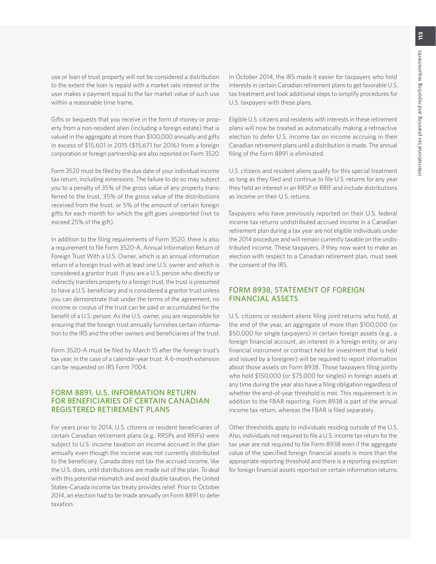use or loan of trust property will not be considered a distribution to the extent the loan is repaid with a market rate interest or the user makes a payment equal to the fair market value of such use within a reasonable time frame.

Gifts or bequests that you receive in the form of money or property from a non-resident alien (including a foreign estate) that is valued in the aggregate at more than \$100,000 annually and gifts in excess of \$15,601 in 2015 (\$15,671 for 2016) from a foreign corporation or foreign partnership are also reported on Form 3520.

Form 3520 must be filed by the due date of your individual income tax return, including extensions. The failure to do so may subject you to a penalty of 35% of the gross value of any property transferred to the trust, 35% of the gross value of the distributions received from the trust, or 5% of the amount of certain foreign gifts for each month for which the gift goes unreported (not to exceed 25% of the gift).

In addition to the filing requirements of Form 3520, there is also a requirement to file Form 3520-A, Annual Information Return of Foreign Trust With a U.S. Owner, which is an annual information return of a foreign trust with at least one U.S. owner and which is considered a grantor trust. If you are a U.S. person who directly or indirectly transfers property to a foreign trust, the trust is presumed to have a U.S. beneficiary and is considered a grantor trust unless you can demonstrate that under the terms of the agreement, no income or corpus of the trust can be paid or accumulated for the benefit of a U.S. person. As the U.S. owner, you are responsible for ensuring that the foreign trust annually furnishes certain information to the IRS and the other owners and beneficiaries of the trust.

Form 3520-A must be filed by March 15 after the foreign trust's tax year, in the case of a calendar-year trust. A 6-month extension can be requested on IRS Form 7004.

## FORM 8891, U.S. INFORMATION RETURN FOR BENEFICIARIES OF CERTAIN CANADIAN REGISTERED RETIREMENT PLANS

For years prior to 2014, U.S. citizens or resident beneficiaries of certain Canadian retirement plans (e.g., RRSPs and RRIFs) were subject to U.S. income taxation on income accrued in the plan annually even though the income was not currently distributed to the beneficiary. Canada does not tax the accrued income, like the U.S. does, until distributions are made out of the plan. To deal with this potential mismatch and avoid double taxation, the United States-Canada income tax treaty provides relief. Prior to October 2014, an election had to be made annually on Form 8891 to defer taxation.

In October 2014, the IRS made it easier for taxpayers who hold interests in certain Canadian retirement plans to get favorable U.S. tax treatment and took additional steps to simplify procedures for U.S. taxpayers with these plans.

Eligible U.S. citizens and residents with interests in these retirement plans will now be treated as automatically making a retroactive election to defer U.S. income tax on income accruing in their Canadian retirement plans until a distribution is made. The annual filing of the Form 8891 is eliminated.

U.S. citizens and resident aliens qualify for this special treatment as long as they filed and continue to file U.S. returns for any year they held an interest in an RRSP or RRIF and include distributions as income on their U.S. returns.

Taxpayers who have previously reported on their U.S. federal income tax returns undistributed accrued income in a Canadian retirement plan during a tax year are not eligible individuals under the 2014 procedure and will remain currently taxable on the undistributed income. These taxpayers, if they now want to make an election with respect to a Canadian retirement plan, must seek the consent of the IRS.

## FORM 8938, STATEMENT OF FOREIGN FINANCIAL ASSETS

U.S. citizens or resident aliens filing joint returns who hold, at the end of the year, an aggregate of more than \$100,000 (or \$50,000 for single taxpayers) in certain foreign assets (e.g., a foreign financial account, an interest in a foreign entity, or any financial instrument or contract held for investment that is held and issued by a foreigner) will be required to report information about those assets on Form 8938. Those taxpayers filing jointly who hold \$150,000 (or \$75,000 for singles) in foreign assets at any time during the year also have a filing obligation regardless of whether the end-of-year threshold is met. This requirement is in addition to the FBAR reporting. Form 8938 is part of the annual income tax return, whereas the FBAR is filed separately.

Other thresholds apply to individuals residing outside of the U.S. Also, individuals not required to file a U.S. income tax return for the tax year are not required to file Form 8938 even if the aggregate value of the specified foreign financial assets is more than the appropriate reporting threshold and there is a reporting exception for foreign financial assets reported on certain information returns.